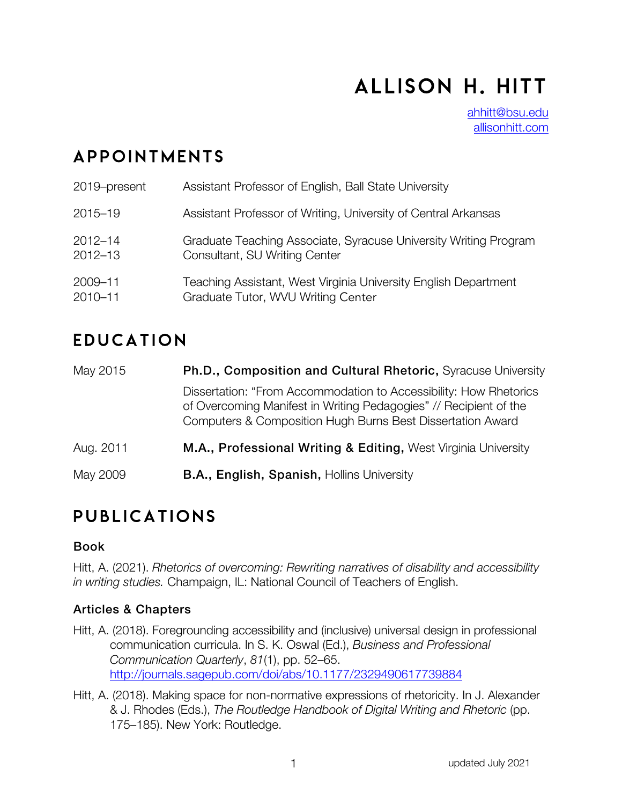# Allison H. Hitt

ahhitt@bsu.edu allisonhitt.com

### appointments

| 2019-present | Assistant Professor of English, Ball State University            |
|--------------|------------------------------------------------------------------|
| 2015-19      | Assistant Professor of Writing, University of Central Arkansas   |
| $2012 - 14$  | Graduate Teaching Associate, Syracuse University Writing Program |
| $2012 - 13$  | Consultant, SU Writing Center                                    |
| 2009-11      | Teaching Assistant, West Virginia University English Department  |
| 2010-11      | Graduate Tutor, WVU Writing Center                               |

### **EDUCATION**

| May 2015  | Ph.D., Composition and Cultural Rhetoric, Syracuse University                                                                                                                                        |  |  |
|-----------|------------------------------------------------------------------------------------------------------------------------------------------------------------------------------------------------------|--|--|
|           | Dissertation: "From Accommodation to Accessibility: How Rhetorics<br>of Overcoming Manifest in Writing Pedagogies" // Recipient of the<br>Computers & Composition Hugh Burns Best Dissertation Award |  |  |
| Aug. 2011 | M.A., Professional Writing & Editing, West Virginia University                                                                                                                                       |  |  |
| May 2009  | B.A., English, Spanish, Hollins University                                                                                                                                                           |  |  |

### p ublications

#### Book

Hitt, A. (2021). *Rhetorics of overcoming: Rewriting narratives of disability and accessibility in writing studies.* Champaign, IL: National Council of Teachers of English.

#### Articles & Chapters

- Hitt, A. (2018). Foregrounding accessibility and (inclusive) universal design in professional communication curricula. In S. K. Oswal (Ed.), *Business and Professional Communication Quarterly*, *81*(1), pp. 52–65. http://journals.sagepub.com/doi/abs/10.1177/2329490617739884
- Hitt, A. (2018). Making space for non-normative expressions of rhetoricity. In J. Alexander & J. Rhodes (Eds.), *The Routledge Handbook of Digital Writing and Rhetoric* (pp. 175–185). New York: Routledge.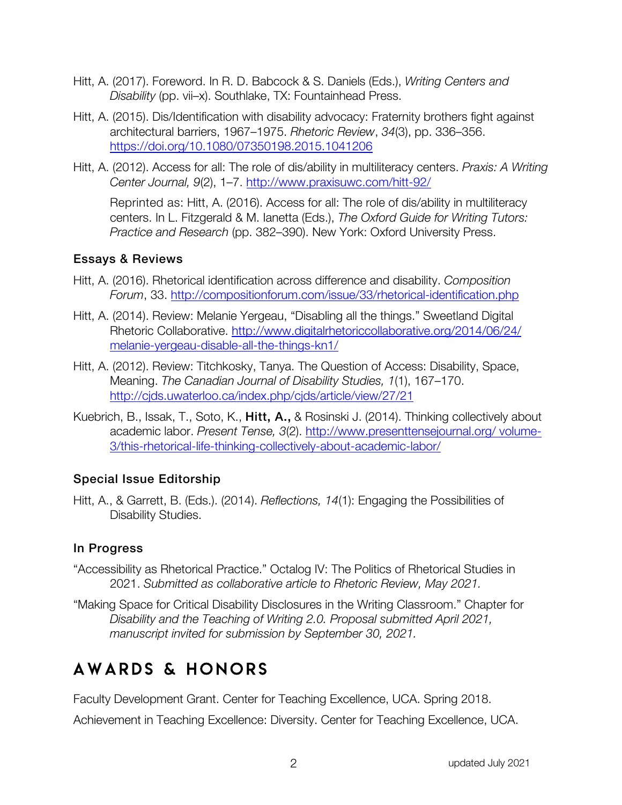- Hitt, A. (2017). Foreword. In R. D. Babcock & S. Daniels (Eds.), *Writing Centers and Disability* (pp. vii–x). Southlake, TX: Fountainhead Press.
- Hitt, A. (2015). Dis/Identification with disability advocacy: Fraternity brothers fight against architectural barriers, 1967–1975. *Rhetoric Review*, *34*(3), pp. 336–356. https://doi.org/10.1080/07350198.2015.1041206
- Hitt, A. (2012). Access for all: The role of dis/ability in multiliteracy centers. *Praxis: A Writing Center Journal, 9*(2), 1–7. http://www.praxisuwc.com/hitt-92/

Reprinted as: Hitt, A. (2016). Access for all: The role of dis/ability in multiliteracy centers. In L. Fitzgerald & M. Ianetta (Eds.), *The Oxford Guide for Writing Tutors: Practice and Research* (pp. 382–390). New York: Oxford University Press.

#### Essays & Reviews

- Hitt, A. (2016). Rhetorical identification across difference and disability. *Composition Forum*, 33. http://compositionforum.com/issue/33/rhetorical-identification.php
- Hitt, A. (2014). Review: Melanie Yergeau, "Disabling all the things." Sweetland Digital Rhetoric Collaborative. http://www.digitalrhetoriccollaborative.org/2014/06/24/ melanie-yergeau-disable-all-the-things-kn1/
- Hitt, A. (2012). Review: Titchkosky, Tanya. The Question of Access: Disability, Space, Meaning. *The Canadian Journal of Disability Studies, 1*(1), 167–170. http://cjds.uwaterloo.ca/index.php/cjds/article/view/27/21
- Kuebrich, B., Issak, T., Soto, K., Hitt, A., & Rosinski J. (2014). Thinking collectively about academic labor. *Present Tense, 3*(2). http://www.presenttensejournal.org/ volume-3/this-rhetorical-life-thinking-collectively-about-academic-labor/

#### Special Issue Editorship

Hitt, A., & Garrett, B. (Eds.). (2014). *Reflections, 14*(1): Engaging the Possibilities of Disability Studies.

#### In Progress

- "Accessibility as Rhetorical Practice." Octalog IV: The Politics of Rhetorical Studies in 2021. *Submitted as collaborative article to Rhetoric Review, May 2021.*
- "Making Space for Critical Disability Disclosures in the Writing Classroom." Chapter for *Disability and the Teaching of Writing 2.0. Proposal submitted April 2021, manuscript invited for submission by September 30, 2021.*

# Awards & honors

Faculty Development Grant. Center for Teaching Excellence, UCA. Spring 2018.

Achievement in Teaching Excellence: Diversity. Center for Teaching Excellence, UCA.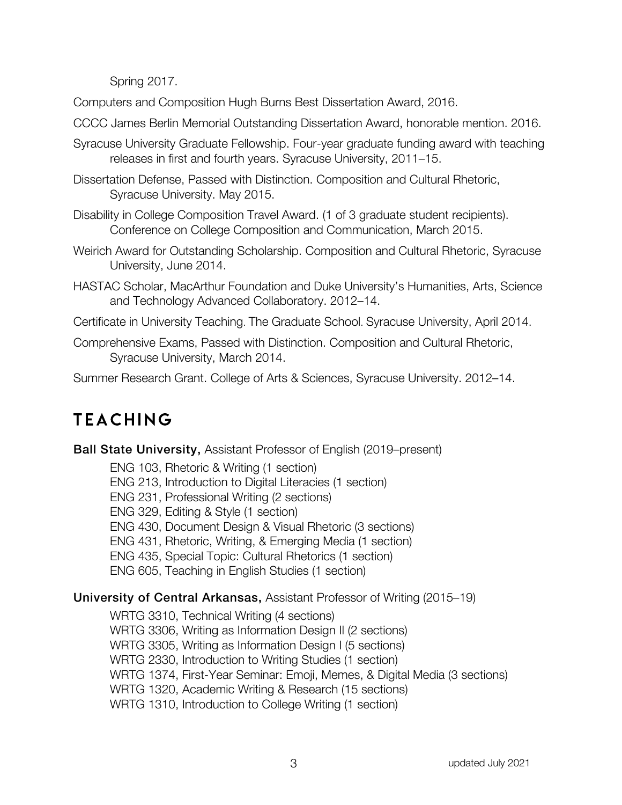Spring 2017.

Computers and Composition Hugh Burns Best Dissertation Award, 2016.

- CCCC James Berlin Memorial Outstanding Dissertation Award, honorable mention. 2016.
- Syracuse University Graduate Fellowship. Four-year graduate funding award with teaching releases in first and fourth years. Syracuse University, 2011–15.
- Dissertation Defense, Passed with Distinction. Composition and Cultural Rhetoric, Syracuse University. May 2015.
- Disability in College Composition Travel Award. (1 of 3 graduate student recipients). Conference on College Composition and Communication, March 2015.
- Weirich Award for Outstanding Scholarship. Composition and Cultural Rhetoric, Syracuse University, June 2014.
- HASTAC Scholar, MacArthur Foundation and Duke University's Humanities, Arts, Science and Technology Advanced Collaboratory. 2012–14.

Certificate in University Teaching. The Graduate School. Syracuse University, April 2014.

Comprehensive Exams, Passed with Distinction. Composition and Cultural Rhetoric, Syracuse University, March 2014.

Summer Research Grant. College of Arts & Sciences, Syracuse University. 2012–14.

# **TEACHING**

Ball State University, Assistant Professor of English (2019–present)

ENG 103, Rhetoric & Writing (1 section)

ENG 213, Introduction to Digital Literacies (1 section)

ENG 231, Professional Writing (2 sections)

ENG 329, Editing & Style (1 section)

ENG 430, Document Design & Visual Rhetoric (3 sections)

ENG 431, Rhetoric, Writing, & Emerging Media (1 section)

ENG 435, Special Topic: Cultural Rhetorics (1 section)

ENG 605, Teaching in English Studies (1 section)

#### University of Central Arkansas, Assistant Professor of Writing (2015–19)

WRTG 3310, Technical Writing (4 sections) WRTG 3306, Writing as Information Design II (2 sections) WRTG 3305, Writing as Information Design I (5 sections) WRTG 2330, Introduction to Writing Studies (1 section) WRTG 1374, First-Year Seminar: Emoji, Memes, & Digital Media (3 sections) WRTG 1320, Academic Writing & Research (15 sections) WRTG 1310, Introduction to College Writing (1 section)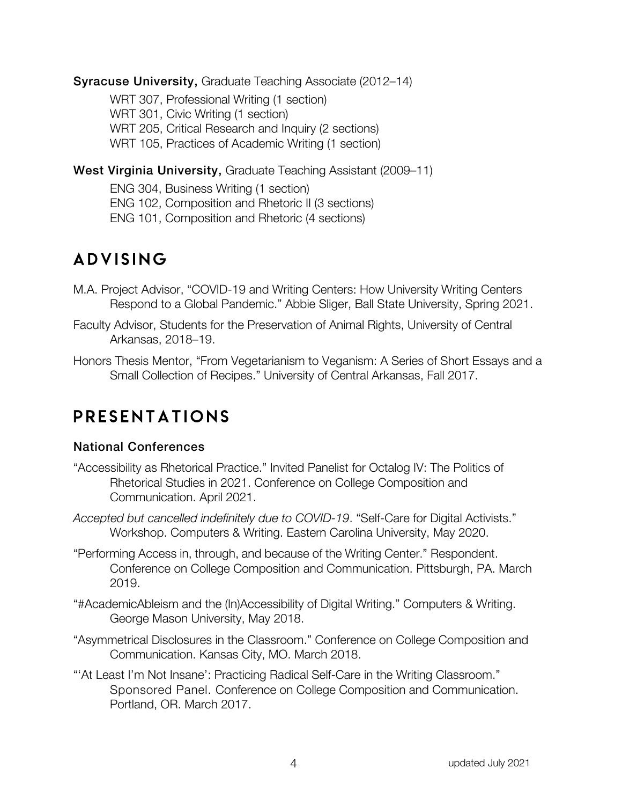#### Syracuse University, Graduate Teaching Associate (2012–14)

WRT 307, Professional Writing (1 section) WRT 301, Civic Writing (1 section) WRT 205, Critical Research and Inquiry (2 sections) WRT 105, Practices of Academic Writing (1 section)

#### West Virginia University, Graduate Teaching Assistant (2009–11)

ENG 304, Business Writing (1 section) ENG 102, Composition and Rhetoric II (3 sections) ENG 101, Composition and Rhetoric (4 sections)

### ADVISING

- M.A. Project Advisor, "COVID-19 and Writing Centers: How University Writing Centers Respond to a Global Pandemic." Abbie Sliger, Ball State University, Spring 2021.
- Faculty Advisor, Students for the Preservation of Animal Rights, University of Central Arkansas, 2018–19.
- Honors Thesis Mentor, "From Vegetarianism to Veganism: A Series of Short Essays and a Small Collection of Recipes." University of Central Arkansas, Fall 2017.

### presentations

#### National Conferences

- "Accessibility as Rhetorical Practice." Invited Panelist for Octalog IV: The Politics of Rhetorical Studies in 2021. Conference on College Composition and Communication. April 2021.
- *Accepted but cancelled indefinitely due to COVID-19*. "Self-Care for Digital Activists." Workshop. Computers & Writing. Eastern Carolina University, May 2020.
- "Performing Access in, through, and because of the Writing Center." Respondent. Conference on College Composition and Communication. Pittsburgh, PA. March 2019.
- "#AcademicAbleism and the (In)Accessibility of Digital Writing." Computers & Writing. George Mason University, May 2018.
- "Asymmetrical Disclosures in the Classroom." Conference on College Composition and Communication. Kansas City, MO. March 2018.
- "'At Least I'm Not Insane': Practicing Radical Self-Care in the Writing Classroom." Sponsored Panel. Conference on College Composition and Communication. Portland, OR. March 2017.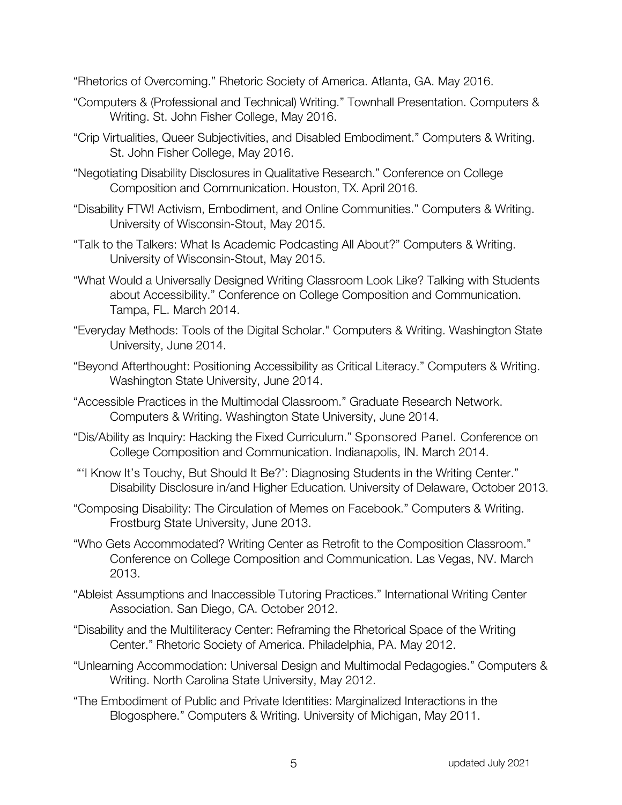"Rhetorics of Overcoming." Rhetoric Society of America. Atlanta, GA. May 2016.

- "Computers & (Professional and Technical) Writing." Townhall Presentation. Computers & Writing. St. John Fisher College, May 2016.
- "Crip Virtualities, Queer Subjectivities, and Disabled Embodiment." Computers & Writing. St. John Fisher College, May 2016.
- "Negotiating Disability Disclosures in Qualitative Research." Conference on College Composition and Communication. Houston, TX. April 2016.
- "Disability FTW! Activism, Embodiment, and Online Communities." Computers & Writing. University of Wisconsin-Stout, May 2015.
- "Talk to the Talkers: What Is Academic Podcasting All About?" Computers & Writing. University of Wisconsin-Stout, May 2015.
- "What Would a Universally Designed Writing Classroom Look Like? Talking with Students about Accessibility." Conference on College Composition and Communication. Tampa, FL. March 2014.
- "Everyday Methods: Tools of the Digital Scholar." Computers & Writing. Washington State University, June 2014.
- "Beyond Afterthought: Positioning Accessibility as Critical Literacy." Computers & Writing. Washington State University, June 2014.
- "Accessible Practices in the Multimodal Classroom." Graduate Research Network. Computers & Writing. Washington State University, June 2014.
- "Dis/Ability as Inquiry: Hacking the Fixed Curriculum." Sponsored Panel. Conference on College Composition and Communication. Indianapolis, IN. March 2014.
- "'I Know It's Touchy, But Should It Be?': Diagnosing Students in the Writing Center." Disability Disclosure in/and Higher Education. University of Delaware, October 2013.
- "Composing Disability: The Circulation of Memes on Facebook." Computers & Writing. Frostburg State University, June 2013.
- "Who Gets Accommodated? Writing Center as Retrofit to the Composition Classroom." Conference on College Composition and Communication. Las Vegas, NV. March 2013.
- "Ableist Assumptions and Inaccessible Tutoring Practices." International Writing Center Association. San Diego, CA. October 2012.
- "Disability and the Multiliteracy Center: Reframing the Rhetorical Space of the Writing Center." Rhetoric Society of America. Philadelphia, PA. May 2012.
- "Unlearning Accommodation: Universal Design and Multimodal Pedagogies." Computers & Writing. North Carolina State University, May 2012.
- "The Embodiment of Public and Private Identities: Marginalized Interactions in the Blogosphere." Computers & Writing. University of Michigan, May 2011.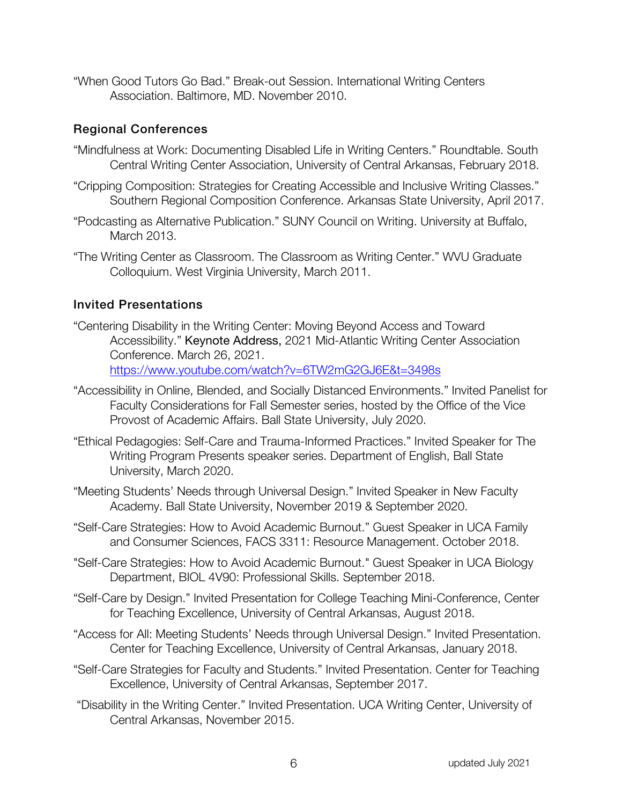"When Good Tutors Go Bad." Break-out Session. International Writing Centers Association. Baltimore, MD. November 2010.

#### Regional Conferences

- "Mindfulness at Work: Documenting Disabled Life in Writing Centers." Roundtable. South Central Writing Center Association, University of Central Arkansas, February 2018.
- "Cripping Composition: Strategies for Creating Accessible and Inclusive Writing Classes." Southern Regional Composition Conference. Arkansas State University, April 2017.
- "Podcasting as Alternative Publication." SUNY Council on Writing. University at Buffalo, March 2013.
- "The Writing Center as Classroom. The Classroom as Writing Center." WVU Graduate Colloquium. West Virginia University, March 2011.

#### Invited Presentations

- "Centering Disability in the Writing Center: Moving Beyond Access and Toward Accessibility." Keynote Address, 2021 Mid-Atlantic Writing Center Association Conference. March 26, 2021. https://www.youtube.com/watch?v=6TW2mG2GJ6E&t=3498s
- "Accessibility in Online, Blended, and Socially Distanced Environments." Invited Panelist for Faculty Considerations for Fall Semester series, hosted by the Office of the Vice Provost of Academic Affairs. Ball State University, July 2020.
- "Ethical Pedagogies: Self-Care and Trauma-Informed Practices." Invited Speaker for The Writing Program Presents speaker series. Department of English, Ball State University, March 2020.
- "Meeting Students' Needs through Universal Design." Invited Speaker in New Faculty Academy. Ball State University, November 2019 & September 2020.
- "Self-Care Strategies: How to Avoid Academic Burnout." Guest Speaker in UCA Family and Consumer Sciences, FACS 3311: Resource Management. October 2018.
- "Self-Care Strategies: How to Avoid Academic Burnout." Guest Speaker in UCA Biology Department, BIOL 4V90: Professional Skills. September 2018.
- "Self-Care by Design." Invited Presentation for College Teaching Mini-Conference, Center for Teaching Excellence, University of Central Arkansas, August 2018.
- "Access for All: Meeting Students' Needs through Universal Design." Invited Presentation. Center for Teaching Excellence, University of Central Arkansas, January 2018.
- "Self-Care Strategies for Faculty and Students." Invited Presentation. Center for Teaching Excellence, University of Central Arkansas, September 2017.
- "Disability in the Writing Center." Invited Presentation. UCA Writing Center, University of Central Arkansas, November 2015.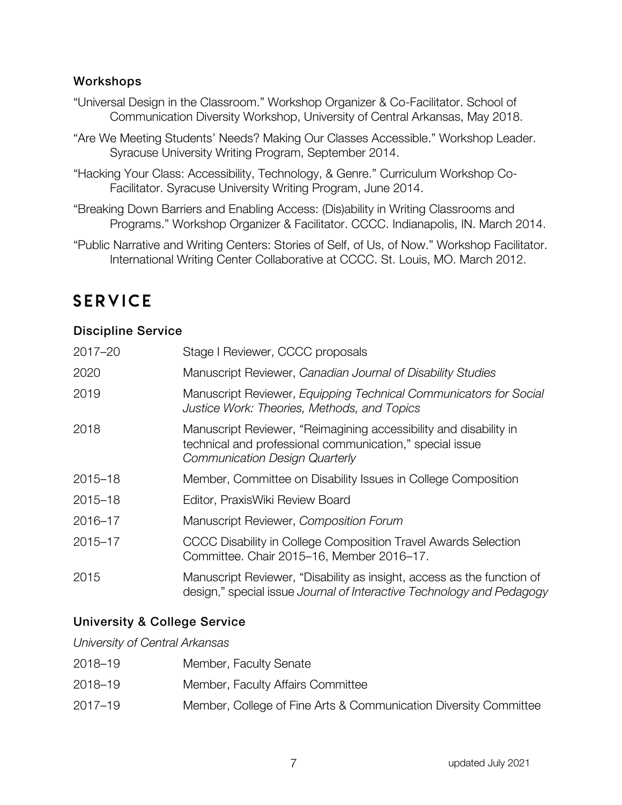#### **Workshops**

- "Universal Design in the Classroom." Workshop Organizer & Co-Facilitator. School of Communication Diversity Workshop, University of Central Arkansas, May 2018.
- "Are We Meeting Students' Needs? Making Our Classes Accessible." Workshop Leader. Syracuse University Writing Program, September 2014.
- "Hacking Your Class: Accessibility, Technology, & Genre." Curriculum Workshop Co-Facilitator. Syracuse University Writing Program, June 2014.
- "Breaking Down Barriers and Enabling Access: (Dis)ability in Writing Classrooms and Programs." Workshop Organizer & Facilitator. CCCC. Indianapolis, IN. March 2014.
- "Public Narrative and Writing Centers: Stories of Self, of Us, of Now." Workshop Facilitator. International Writing Center Collaborative at CCCC. St. Louis, MO. March 2012.

### **SERVICE**

#### Discipline Service

| $2017 - 20$ | Stage I Reviewer, CCCC proposals                                                                                                                                       |
|-------------|------------------------------------------------------------------------------------------------------------------------------------------------------------------------|
| 2020        | Manuscript Reviewer, Canadian Journal of Disability Studies                                                                                                            |
| 2019        | Manuscript Reviewer, Equipping Technical Communicators for Social<br>Justice Work: Theories, Methods, and Topics                                                       |
| 2018        | Manuscript Reviewer, "Reimagining accessibility and disability in<br>technical and professional communication," special issue<br><b>Communication Design Quarterly</b> |
| $2015 - 18$ | Member, Committee on Disability Issues in College Composition                                                                                                          |
| $2015 - 18$ | Editor, PraxisWiki Review Board                                                                                                                                        |
| 2016-17     | Manuscript Reviewer, Composition Forum                                                                                                                                 |
| 2015-17     | CCCC Disability in College Composition Travel Awards Selection<br>Committee. Chair 2015–16, Member 2016–17.                                                            |
| 2015        | Manuscript Reviewer, "Disability as insight, access as the function of<br>design," special issue Journal of Interactive Technology and Pedagogy                        |

#### University & College Service

*University of Central Arkansas*

| 2018-19     | Member, Faculty Senate                                           |
|-------------|------------------------------------------------------------------|
| 2018-19     | Member, Faculty Affairs Committee                                |
| $2017 - 19$ | Member, College of Fine Arts & Communication Diversity Committee |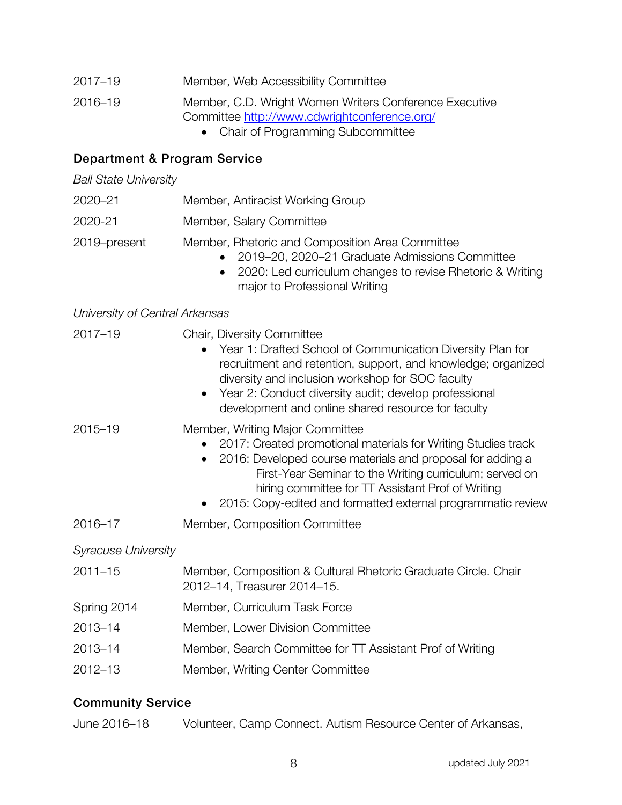| 2017–19 | Member, Web Accessibility Committee |  |
|---------|-------------------------------------|--|
|         |                                     |  |

2016–19 Member, C.D. Wright Women Writers Conference Executive Committee http://www.cdwrightconference.org/

• Chair of Programming Subcommittee

#### Department & Program Service

*Ball State University*

- 2020–21 Member, Antiracist Working Group
- 2020-21 Member, Salary Committee
- 2019–present Member, Rhetoric and Composition Area Committee
	- 2019–20, 2020–21 Graduate Admissions Committee
	- 2020: Led curriculum changes to revise Rhetoric & Writing major to Professional Writing

#### *University of Central Arkansas*

| Chair, Diversity Committee<br>Year 1: Drafted School of Communication Diversity Plan for<br>recruitment and retention, support, and knowledge; organized<br>diversity and inclusion workshop for SOC faculty<br>• Year 2: Conduct diversity audit; develop professional<br>development and online shared resource for faculty                  |  |
|------------------------------------------------------------------------------------------------------------------------------------------------------------------------------------------------------------------------------------------------------------------------------------------------------------------------------------------------|--|
| Member, Writing Major Committee<br>2017: Created promotional materials for Writing Studies track<br>2016: Developed course materials and proposal for adding a<br>First-Year Seminar to the Writing curriculum; served on<br>hiring committee for TT Assistant Prof of Writing<br>2015: Copy-edited and formatted external programmatic review |  |
| Member, Composition Committee                                                                                                                                                                                                                                                                                                                  |  |
|                                                                                                                                                                                                                                                                                                                                                |  |
| Member, Composition & Cultural Rhetoric Graduate Circle. Chair<br>2012-14, Treasurer 2014-15.                                                                                                                                                                                                                                                  |  |
| Member, Curriculum Task Force                                                                                                                                                                                                                                                                                                                  |  |
| Member, Lower Division Committee                                                                                                                                                                                                                                                                                                               |  |
| Member, Search Committee for TT Assistant Prof of Writing                                                                                                                                                                                                                                                                                      |  |
| Member, Writing Center Committee                                                                                                                                                                                                                                                                                                               |  |
|                                                                                                                                                                                                                                                                                                                                                |  |

#### Community Service

| June 2016-18 | Volunteer, Camp Connect. Autism Resource Center of Arkansas, |
|--------------|--------------------------------------------------------------|
|--------------|--------------------------------------------------------------|